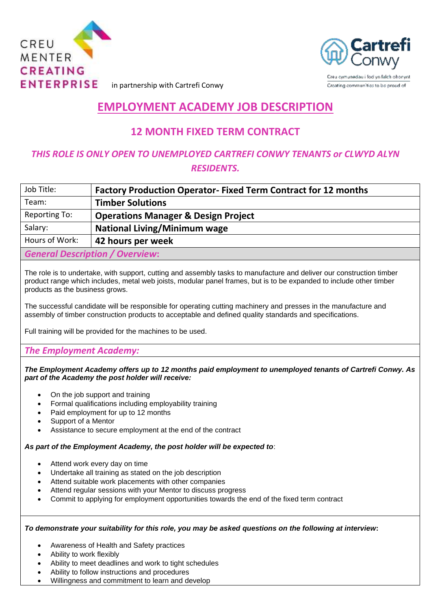



in partnership with Cartrefi Conwy

# **EMPLOYMENT ACADEMY JOB DESCRIPTION**

## **12 MONTH FIXED TERM CONTRACT**

## *THIS ROLE IS ONLY OPEN TO UNEMPLOYED CARTREFI CONWY TENANTS or CLWYD ALYN RESIDENTS.*

| Job Title:                             | <b>Factory Production Operator- Fixed Term Contract for 12 months</b> |
|----------------------------------------|-----------------------------------------------------------------------|
| Team:                                  | <b>Timber Solutions</b>                                               |
| Reporting To:                          | <b>Operations Manager &amp; Design Project</b>                        |
| Salary:                                | <b>National Living/Minimum wage</b>                                   |
| Hours of Work:                         | 42 hours per week                                                     |
| <b>General Description / Overview:</b> |                                                                       |

The role is to undertake, with support, cutting and assembly tasks to manufacture and deliver our construction timber product range which includes, metal web joists, modular panel frames, but is to be expanded to include other timber products as the business grows.

The successful candidate will be responsible for operating cutting machinery and presses in the manufacture and assembly of timber construction products to acceptable and defined quality standards and specifications.

Full training will be provided for the machines to be used.

### *The Employment Academy:*

*The Employment Academy offers up to 12 months paid employment to unemployed tenants of Cartrefi Conwy. As part of the Academy the post holder will receive:*

- On the job support and training
- Formal qualifications including employability training
- Paid employment for up to 12 months
- Support of a Mentor
- Assistance to secure employment at the end of the contract

#### *As part of the Employment Academy, the post holder will be expected to*:

- Attend work every day on time
- Undertake all training as stated on the job description
- Attend suitable work placements with other companies
- Attend regular sessions with your Mentor to discuss progress
- Commit to applying for employment opportunities towards the end of the fixed term contract

*To demonstrate your suitability for this role, you may be asked questions on the following at interview***:**

- Awareness of Health and Safety practices
- Ability to work flexibly
- Ability to meet deadlines and work to tight schedules
- Ability to follow instructions and procedures
- Willingness and commitment to learn and develop